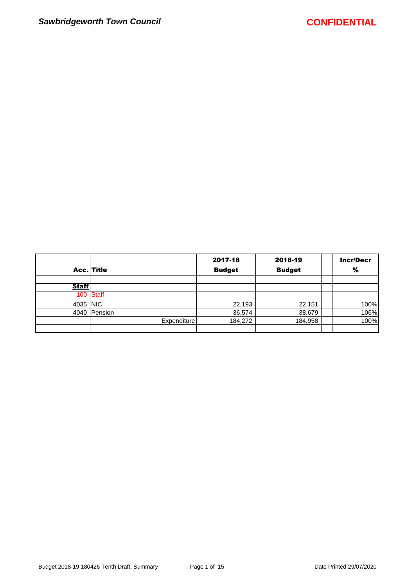|              |              | 2017-18       | 2018-19       | <b>Incr/Decr</b> |
|--------------|--------------|---------------|---------------|------------------|
|              | Acc. Title   | <b>Budget</b> | <b>Budget</b> | %                |
|              |              |               |               |                  |
| <b>Staff</b> |              |               |               |                  |
|              | 100 Staff    |               |               |                  |
| 4035 NIC     |              | 22,193        | 22,151        | 100%             |
|              | 4040 Pension | 36,574        | 38,679        | 106%             |
|              | Expenditure  | 184,272       | 184,958       | 100%             |
|              |              |               |               |                  |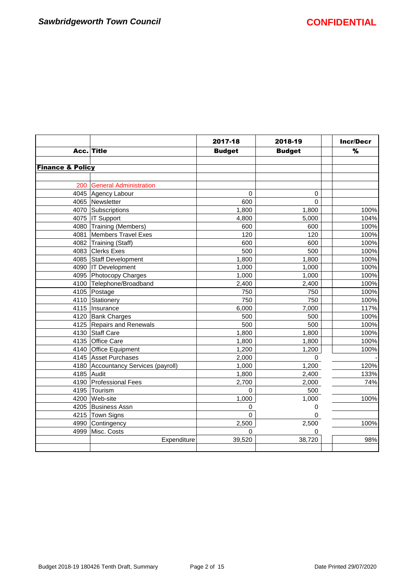$\mathbf{I}$ 

|                             |                                     | 2017-18       | 2018-19       | <b>Incr/Decr</b> |
|-----------------------------|-------------------------------------|---------------|---------------|------------------|
|                             | Acc. Title                          | <b>Budget</b> | <b>Budget</b> | %                |
|                             |                                     |               |               |                  |
| <b>Finance &amp; Policy</b> |                                     |               |               |                  |
| 200                         | <b>General Administration</b>       |               |               |                  |
|                             | 4045 Agency Labour                  | 0             | 0             |                  |
|                             | 4065 Newsletter                     | 600           | $\Omega$      |                  |
|                             | 4070 Subscriptions                  | 1,800         | 1,800         | 100%             |
|                             | 4075   IT Support                   | 4,800         | 5,000         | 104%             |
|                             | 4080 Training (Members)             | 600           | 600           | 100%             |
|                             | 4081 Members Travel Exes            | 120           | 120           | 100%             |
|                             | 4082 Training (Staff)               | 600           | 600           | 100%             |
|                             | 4083 Clerks Exes                    | 500           | 500           | 100%             |
|                             | 4085 Staff Development              | 1,800         | 1,800         | 100%             |
|                             | 4090   IT Development               | 1,000         | 1,000         | 100%             |
|                             | 4095 Photocopy Charges              | 1,000         | 1,000         | 100%             |
|                             | 4100 Telephone/Broadband            | 2,400         | 2,400         | 100%             |
|                             | 4105 Postage                        | 750           | 750           | 100%             |
|                             | 4110 Stationery                     | 750           | 750           | 100%             |
|                             | 4115   Insurance                    | 6,000         | 7,000         | 117%             |
|                             | 4120 Bank Charges                   | 500           | 500           | 100%             |
|                             | 4125 Repairs and Renewals           | 500           | 500           | 100%             |
|                             | 4130 Staff Care                     | 1,800         | 1,800         | 100%             |
|                             | 4135 Office Care                    | 1,800         | 1,800         | 100%             |
|                             | 4140 Office Equipment               | 1,200         | 1,200         | 100%             |
|                             | 4145 Asset Purchases                | 2,000         | $\Omega$      |                  |
|                             | 4180 Accountancy Services (payroll) | 1,000         | 1,200         | 120%             |
|                             | 4185 Audit                          | 1,800         | 2,400         | 133%             |
|                             | 4190 Professional Fees              | 2,700         | 2,000         | 74%              |
|                             | 4195 Tourism                        | $\Omega$      | 500           |                  |
|                             | 4200 Web-site                       | 1,000         | 1,000         | 100%             |
|                             | 4205 Business Assn                  | 0             | 0             |                  |
|                             | 4215 Town Signs                     | $\mathbf 0$   | 0             |                  |
|                             | 4990 Contingency                    | 2,500         | 2,500         | 100%             |
| 4999                        | Misc. Costs                         | $\Omega$      | 0             |                  |
|                             | Expenditure                         | 39,520        | 38,720        | 98%              |
|                             |                                     |               |               |                  |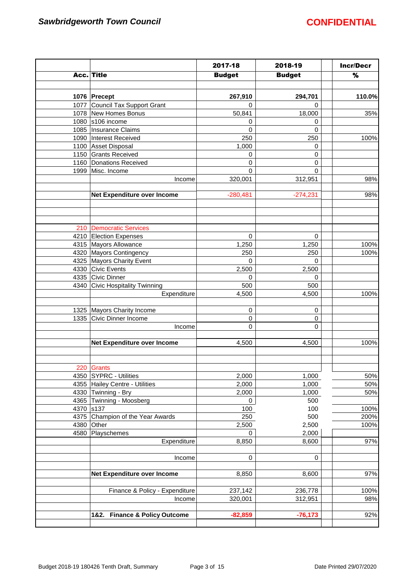|           |                                  | 2017-18       | 2018-19       | <b>Incr/Decr</b> |
|-----------|----------------------------------|---------------|---------------|------------------|
|           | Acc. Title                       | <b>Budget</b> | <b>Budget</b> | $\%$             |
|           |                                  |               |               |                  |
|           | 1076 Precept                     | 267,910       | 294,701       | 110.0%           |
| 1077      | Council Tax Support Grant        | 0             | 0             |                  |
|           | 1078 New Homes Bonus             | 50,841        | 18,000        | 35%              |
| 1080      | s106 income                      | 0             | 0             |                  |
|           | 1085   Insurance Claims          | 0             | 0             |                  |
|           | 1090 Interest Received           | 250           | 250           | 100%             |
|           | 1100 Asset Disposal              | 1,000         | 0             |                  |
|           | 1150 Grants Received             | 0             | $\mathbf 0$   |                  |
|           | 1160 Donations Received          | 0             | 0             |                  |
|           | 1999 Misc. Income                | $\mathbf 0$   | $\Omega$      |                  |
|           | Income                           | 320,001       | 312,951       | 98%              |
|           |                                  |               |               |                  |
|           | Net Expenditure over Income      | $-280,481$    | $-274,231$    | 98%              |
|           |                                  |               |               |                  |
|           |                                  |               |               |                  |
| 210       | Democratic Services              |               |               |                  |
|           | 4210 Election Expenses           | $\mathbf 0$   | $\mathbf 0$   |                  |
|           | 4315 Mayors Allowance            | 1,250         | 1,250         | 100%             |
|           | 4320 Mayors Contingency          | 250           | 250           | 100%             |
|           | 4325 Mayors Charity Event        | 0             | $\Omega$      |                  |
|           | 4330 Civic Events                | 2,500         | 2,500         |                  |
|           | 4335 Civic Dinner                | 0             | 0             |                  |
|           | 4340 Civic Hospitality Twinning  | 500           | 500           |                  |
|           | Expenditure                      | 4,500         | 4,500         | 100%             |
|           |                                  |               |               |                  |
|           | 1325   Mayors Charity Income     | 0             | 0             |                  |
| 1335      | Civic Dinner Income              | 0             | 0             |                  |
|           | Income                           | 0             | 0             |                  |
|           |                                  |               |               |                  |
|           | Net Expenditure over Income      | 4,500         | 4,500         | 100%             |
|           |                                  |               |               |                  |
|           | 220 Grants                       |               |               |                  |
|           | 4350 SYPRC - Utilities           | 2,000         | 1,000         | 50%              |
|           | 4355 Hailey Centre - Utilities   | 2,000         | 1,000         | 50%              |
|           | 4330 Twinning - Bry              | 2,000         | 1,000         | 50%              |
|           | 4365 Twinning - Moosberg         | 0             | 500           |                  |
| 4370 s137 |                                  | 100           | 100           | 100%             |
|           | 4375 Champion of the Year Awards | 250           | 500           | 200%             |
| 4380      | Other                            | 2,500         | 2,500         | 100%             |
| 4580      | Playschemes                      | $\mathbf 0$   | 2,000         |                  |
|           | Expenditure                      | 8,850         | 8,600         | 97%              |
|           | Income                           | $\mathbf 0$   | 0             |                  |
|           |                                  |               |               |                  |
|           | Net Expenditure over Income      | 8,850         | 8,600         | 97%              |
|           |                                  |               |               | 100%             |
|           | Finance & Policy - Expenditure   | 237,142       | 236,778       |                  |
|           | Income                           | 320,001       | 312,951       | 98%              |
|           | 1&2. Finance & Policy Outcome    | $-82,859$     | $-76,173$     | 92%              |
|           |                                  |               |               |                  |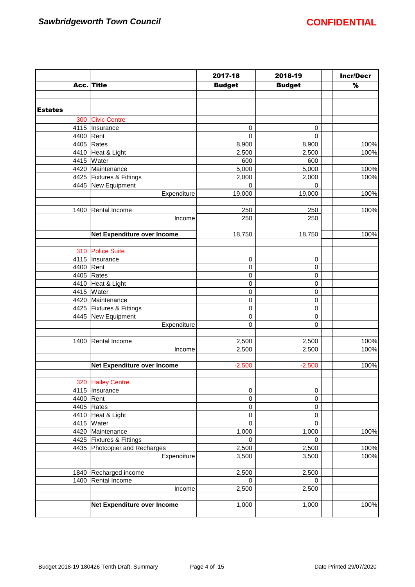|                |                                 | 2017-18       | 2018-19        | <b>Incr/Decr</b> |
|----------------|---------------------------------|---------------|----------------|------------------|
|                | Acc. Title                      | <b>Budget</b> | <b>Budget</b>  | %                |
|                |                                 |               |                |                  |
|                |                                 |               |                |                  |
| <u>Estates</u> |                                 |               |                |                  |
| 300            | <b>Civic Centre</b>             |               |                |                  |
|                | 4115   Insurance                | 0             | 0              |                  |
| 4400 Rent      |                                 | $\mathsf 0$   | $\overline{0}$ |                  |
|                | 4405 Rates                      | 8,900         | 8,900          | 100%             |
|                | 4410 Heat & Light               | 2,500         | 2,500          | 100%             |
|                | 4415   Water                    | 600           | 600            |                  |
|                | 4420 Maintenance                | 5,000         | 5,000          | 100%             |
|                | 4425   Fixtures & Fittings      | 2,000         | 2,000          | 100%             |
|                | 4445 New Equipment              | $\mathbf 0$   | 0              |                  |
|                | Expenditure                     | 19,000        | 19,000         | 100%             |
|                |                                 |               |                |                  |
|                | 1400 Rental Income              | 250           | 250            | 100%             |
|                | Income                          | 250           | 250            |                  |
|                |                                 |               |                |                  |
|                | Net Expenditure over Income     | 18,750        | 18,750         | 100%             |
|                |                                 |               |                |                  |
|                | 310 Police Suite                |               |                |                  |
|                | 4115   Insurance                | $\mathbf 0$   | 0              |                  |
|                | 4400 Rent                       | $\mathbf 0$   | 0              |                  |
|                | 4405 Rates                      | $\mathbf 0$   | 0              |                  |
|                |                                 |               |                |                  |
|                | 4410 Heat & Light<br>4415 Water | $\mathbf 0$   | 0              |                  |
|                |                                 | $\mathbf 0$   | 0              |                  |
|                | 4420 Maintenance                | $\mathbf 0$   | 0              |                  |
|                | 4425   Fixtures & Fittings      | $\mathbf 0$   | 0              |                  |
|                | 4445 New Equipment              | $\mathbf 0$   | 0              |                  |
|                | Expenditure                     | $\mathbf 0$   | 0              |                  |
|                |                                 |               |                |                  |
| 1400           | Rental Income                   | 2,500         | 2,500          | 100%             |
|                | Income                          | 2,500         | 2,500          | 100%             |
|                |                                 |               |                |                  |
|                | Net Expenditure over Income     | $-2,500$      | $-2,500$       | 100%             |
|                |                                 |               |                |                  |
|                | 320 Hailey Centre               |               |                |                  |
|                | 4115   Insurance                | $\pmb{0}$     | 0              |                  |
|                | 4400   Rent                     | $\pmb{0}$     | 0              |                  |
|                | 4405 Rates                      | $\mathbf 0$   | 0              |                  |
|                | 4410 Heat & Light               | $\mathbf 0$   | 0              |                  |
|                | 4415 Water                      | $\mathbf 0$   | 0              |                  |
|                | 4420 Maintenance                | 1,000         | 1,000          | 100%             |
|                | 4425   Fixtures & Fittings      | $\mathbf 0$   | $\mathbf 0$    |                  |
|                | 4435 Photcopier and Recharges   | 2,500         | 2,500          | 100%             |
|                | Expenditure                     | 3,500         | 3,500          | 100%             |
|                |                                 |               |                |                  |
|                | 1840 Recharged income           | 2,500         | 2,500          |                  |
|                | 1400 Rental Income              | $\mathbf 0$   | 0              |                  |
|                | Income                          | 2,500         | 2,500          |                  |
|                |                                 |               |                |                  |
|                | Net Expenditure over Income     | 1,000         | 1,000          | 100%             |
|                |                                 |               |                |                  |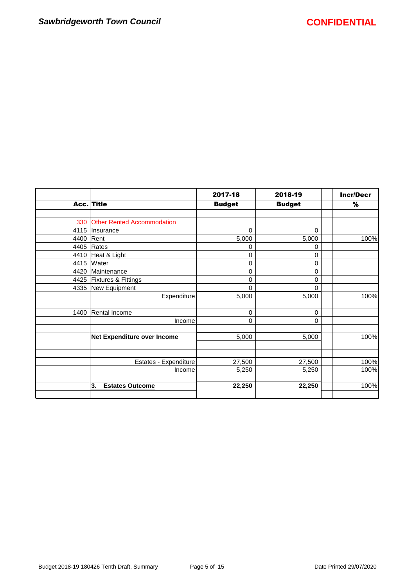|      |                                   | 2017-18       | 2018-19       | <b>Incr/Decr</b> |
|------|-----------------------------------|---------------|---------------|------------------|
|      | Acc. Title                        | <b>Budget</b> | <b>Budget</b> | %                |
|      |                                   |               |               |                  |
| 330  | <b>Other Rented Accommodation</b> |               |               |                  |
| 4115 | Insurance                         | $\mathbf 0$   | $\Omega$      |                  |
| 4400 | Rent                              | 5,000         | 5,000         | 100%             |
| 4405 | Rates                             | 0             | 0             |                  |
| 4410 | Heat & Light                      | 0             | 0             |                  |
| 4415 | Water                             | 0             | 0             |                  |
| 4420 | Maintenance                       | 0             | 0             |                  |
| 4425 | <b>Fixtures &amp; Fittings</b>    | 0             | 0             |                  |
|      | 4335 New Equipment                | 0             | 0             |                  |
|      | Expenditure                       | 5,000         | 5,000         | 100%             |
| 1400 | Rental Income                     | 0             | 0             |                  |
|      | Income                            | 0             | 0             |                  |
|      | Net Expenditure over Income       | 5,000         | 5,000         | 100%             |
|      |                                   |               |               |                  |
|      | Estates - Expenditure             | 27,500        | 27,500        | 100%             |
|      | Income                            | 5,250         | 5,250         | 100%             |
|      | 3.<br><b>Estates Outcome</b>      | 22,250        | 22,250        | 100%             |
|      |                                   |               |               |                  |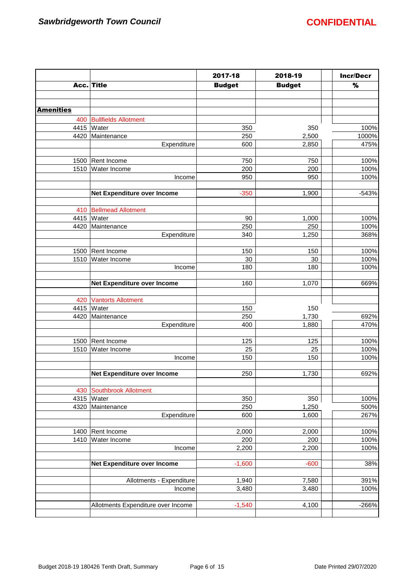|                  |                                           | 2017-18       | 2018-19       | <b>Incr/Decr</b>  |
|------------------|-------------------------------------------|---------------|---------------|-------------------|
|                  | Acc. Title                                | <b>Budget</b> | <b>Budget</b> | $\%$              |
|                  |                                           |               |               |                   |
|                  |                                           |               |               |                   |
| <b>Amenities</b> |                                           |               |               |                   |
| 400              | <b>Bullfields Allotment</b>               |               |               |                   |
| 4415             | Water                                     | 350           | 350           | 100%              |
| 4420             | Maintenance                               | 250           | 2,500         | 1000%             |
|                  | Expenditure                               | 600           | 2,850         | 475%              |
|                  |                                           |               |               |                   |
| 1500             | Rent Income                               | 750           | 750           | 100%              |
| 1510             | Water Income                              | 200           | 200           | 100%              |
|                  | Income                                    | 950           | 950           | 100%              |
|                  |                                           |               |               |                   |
|                  | Net Expenditure over Income               | $-350$        | 1,900         | $-543%$           |
|                  |                                           |               |               |                   |
| 410              | <b>Bellmead Allotment</b><br>4415   Water | 90            | 1,000         | 100%              |
| 4420             | Maintenance                               | 250           | 250           | 100%              |
|                  | Expenditure                               | 340           | 1,250         | 368%              |
|                  |                                           |               |               |                   |
|                  | 1500   Rent Income                        | 150           | 150           | 100%              |
|                  | 1510 Water Income                         | 30            | 30            | 100%              |
|                  | Income                                    | 180           | 180           | 100%              |
|                  |                                           |               |               |                   |
|                  | Net Expenditure over Income               | 160           | 1,070         | 669%              |
|                  |                                           |               |               |                   |
| 420              | <b>Vantorts Allotment</b>                 |               |               |                   |
| 4415             | Water                                     | 150           | 150           |                   |
| 4420             | Maintenance                               | 250           | 1,730         | 692%              |
|                  | Expenditure                               | 400           | 1,880         | 470%              |
|                  |                                           |               |               |                   |
| 1500             | Rent Income                               | 125           | 125           | 100%              |
|                  | 1510 Water Income                         | 25            | 25            | 100%              |
|                  | Income                                    | 150           | 150           | 100%              |
|                  |                                           |               |               |                   |
|                  | Net Expenditure over Income               | 250           | 1,730         | 692%              |
|                  |                                           |               |               |                   |
| 430              | Southbrook Allotment<br>4315 Water        | 350           | 350           | $\frac{1}{100\%}$ |
| 4320             | Maintenance                               | 250           | 1,250         | 500%              |
|                  | Expenditure                               | 600           | 1,600         | 267%              |
|                  |                                           |               |               |                   |
| 1400             | Rent Income                               | 2,000         | 2,000         | 100%              |
| 1410             | Water Income                              | 200           | 200           | 100%              |
|                  | Income                                    | 2,200         | 2,200         | 100%              |
|                  |                                           |               |               |                   |
|                  | Net Expenditure over Income               | $-1,600$      | $-600$        | 38%               |
|                  |                                           |               |               |                   |
|                  | Allotments - Expenditure                  | 1,940         | 7,580         | 391%              |
|                  | Income                                    | 3,480         | 3,480         | 100%              |
|                  |                                           |               |               |                   |
|                  | Allotments Expenditure over Income        | $-1,540$      | 4,100         | -266%             |
|                  |                                           |               |               |                   |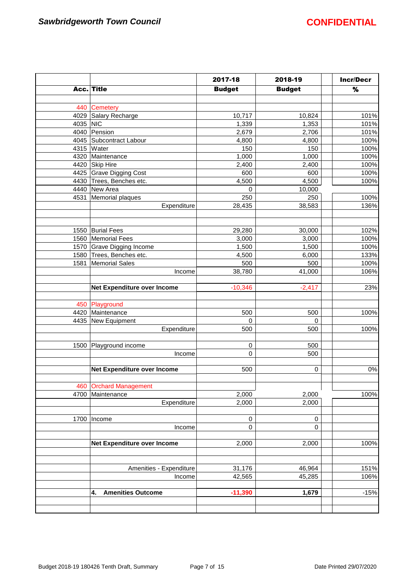|          |                                | 2017-18       | 2018-19       | <b>Incr/Decr</b> |
|----------|--------------------------------|---------------|---------------|------------------|
|          | Acc. Title                     | <b>Budget</b> | <b>Budget</b> | %                |
|          |                                |               |               |                  |
| 440      | <b>Cemetery</b>                |               |               |                  |
| 4029     | Salary Recharge                | 10,717        | 10,824        | 101%             |
| 4035 NIC |                                | 1,339         | 1,353         | 101%             |
|          | 4040 Pension                   | 2,679         | 2,706         | 101%             |
|          | 4045 Subcontract Labour        | 4,800         | 4,800         | 100%             |
|          | 4315 Water                     | 150           | 150           | 100%             |
| 4320     | Maintenance                    | 1,000         | 1,000         | 100%             |
|          | 4420 Skip Hire                 | 2,400         | 2,400         | 100%             |
|          | 4425 Grave Digging Cost        | 600           | 600           | 100%             |
|          | 4430 Trees, Benches etc.       | 4,500         | 4,500         | 100%             |
|          | 4440 New Area                  | 0             | 10,000        |                  |
| 4531     | Memorial plaques               | 250           | 250           | 100%             |
|          | Expenditure                    | 28,435        | 38,583        | 136%             |
|          |                                |               |               |                  |
|          |                                |               |               |                  |
| 1550     | <b>Burial Fees</b>             | 29,280        | 30,000        | 102%             |
| 1560     | Memorial Fees                  | 3,000         | 3,000         | 100%             |
|          | 1570 Grave Digging Income      | 1,500         | 1,500         | 100%             |
|          | 1580 Trees, Benches etc.       | 4,500         | 6,000         | 133%             |
| 1581     | Memorial Sales                 | 500           | 500           | 100%             |
|          | Income                         | 38,780        | 41,000        | 106%             |
|          |                                |               |               |                  |
|          | Net Expenditure over Income    | $-10,346$     | $-2,417$      | 23%              |
| 450      | Playground                     |               |               |                  |
| 4420     | Maintenance                    | 500           | 500           | 100%             |
| 4435     | New Equipment                  | $\pmb{0}$     | 0             |                  |
|          | Expenditure                    | 500           | 500           | 100%             |
|          |                                |               |               |                  |
| 1500     | Playground income              | $\pmb{0}$     | 500           |                  |
|          | Income                         | 0             | 500           |                  |
|          |                                |               |               |                  |
|          | Net Expenditure over Income    | 500           | 0             | $0\%$            |
|          |                                |               |               |                  |
|          | 460 Orchard Management         |               |               |                  |
| 4700     | Maintenance                    | 2,000         | 2,000         | 100%             |
|          | Expenditure                    | 2,000         | 2,000         |                  |
|          |                                |               |               |                  |
| 1700     | Income                         | $\pmb{0}$     | $\pmb{0}$     |                  |
|          | Income                         | $\pmb{0}$     | $\mathbf 0$   |                  |
|          |                                |               |               |                  |
|          | Net Expenditure over Income    | 2,000         | 2,000         | 100%             |
|          |                                |               |               |                  |
|          |                                |               |               |                  |
|          | Amenities - Expenditure        | 31,176        | 46,964        | 151%             |
|          | Income                         | 42,565        | 45,285        | 106%             |
|          |                                |               |               |                  |
|          | <b>Amenities Outcome</b><br>4. | $-11,390$     | 1,679         | $-15%$           |
|          |                                |               |               |                  |
|          |                                |               |               |                  |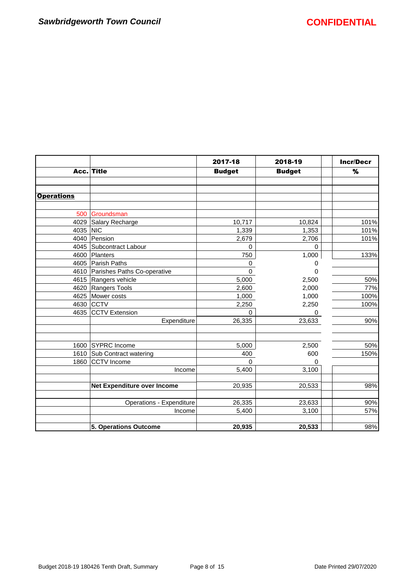$\mathsf{r}$ 

|                   |                                  | 2017-18       | 2018-19       | <b>Incr/Decr</b> |
|-------------------|----------------------------------|---------------|---------------|------------------|
|                   | Acc. Title                       | <b>Budget</b> | <b>Budget</b> | %                |
|                   |                                  |               |               |                  |
|                   |                                  |               |               |                  |
| <b>Operations</b> |                                  |               |               |                  |
|                   |                                  |               |               |                  |
| 500               | Groundsman                       |               |               |                  |
| 4029              | Salary Recharge                  | 10,717        | 10,824        | 101%             |
| 4035              | <b>NIC</b>                       | 1,339         | 1,353         | 101%             |
| 4040              | Pension                          | 2,679         | 2,706         | 101%             |
| 4045              | Subcontract Labour               | 0             | 0             |                  |
| 4600              | Planters                         | 750           | 1,000         | 133%             |
|                   | 4605 Parish Paths                | 0             | 0             |                  |
|                   | 4610 Parishes Paths Co-operative | $\mathbf 0$   | 0             |                  |
|                   | 4615 Rangers vehicle             | 5,000         | 2,500         | 50%              |
|                   | 4620 Rangers Tools               | 2,600         | 2,000         | 77%              |
|                   | 4625 Mower costs                 | 1,000         | 1,000         | 100%             |
|                   | 4630 CCTV                        | 2,250         | 2,250         | 100%             |
|                   | 4635 CCTV Extension              | 0             | 0             |                  |
|                   | Expenditure                      | 26,335        | 23,633        | 90%              |
|                   |                                  |               |               |                  |
|                   | 1600 SYPRC Income                | 5,000         | 2,500         | 50%              |
| 1610              | Sub Contract watering            | 400           | 600           | 150%             |
| 1860              | <b>CCTV</b> Income               | 0             | 0             |                  |
|                   | Income                           | 5,400         | 3,100         |                  |
|                   |                                  |               |               |                  |
|                   | Net Expenditure over Income      | 20,935        | 20,533        | 98%              |
|                   |                                  |               |               |                  |
|                   | Operations - Expenditure         | 26,335        | 23,633        | 90%              |
|                   | Income                           | 5,400         | 3,100         | 57%              |
|                   | 5. Operations Outcome            | 20,935        | 20,533        | 98%              |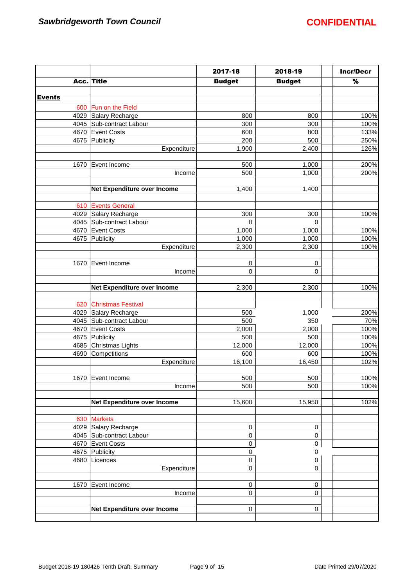|               |                                    | 2017-18       | 2018-19       | <b>Incr/Decr</b> |
|---------------|------------------------------------|---------------|---------------|------------------|
|               | Acc. Title                         | <b>Budget</b> | <b>Budget</b> | $\%$             |
|               |                                    |               |               |                  |
| <b>Events</b> |                                    |               |               |                  |
| 600           | Fun on the Field                   |               |               |                  |
| 4029          | Salary Recharge                    | 800           | 800           | 100%             |
|               | 4045 Sub-contract Labour           | 300           | 300           | 100%             |
|               | 4670 Event Costs                   | 600           | 800           | 133%             |
|               | 4675 Publicity                     | 200           | 500           | 250%             |
|               | Expenditure                        | 1,900         | 2,400         | 126%             |
| 1670          | Event Income                       | 500           | 1,000         | 200%             |
|               | Income                             | 500           | 1,000         | 200%             |
|               |                                    |               |               |                  |
|               | Net Expenditure over Income        | 1,400         | 1,400         |                  |
|               |                                    |               |               |                  |
|               | 610 Events General                 |               |               |                  |
|               | 4029 Salary Recharge               | 300           | 300           | 100%             |
|               | 4045 Sub-contract Labour           | $\mathbf 0$   | $\Omega$      |                  |
|               | 4670 Event Costs                   | 1,000         | 1,000         | 100%             |
|               | 4675 Publicity                     | 1,000         | 1,000         | 100%             |
|               | Expenditure                        | 2,300         | 2,300         | 100%             |
|               |                                    |               |               |                  |
| 1670          | Event Income                       | 0             | 0             |                  |
|               | Income                             | 0             | 0             |                  |
|               | Net Expenditure over Income        | 2,300         | 2,300         | 100%             |
|               |                                    |               |               |                  |
| 620           | <b>Christmas Festival</b>          |               |               |                  |
|               | 4029 Salary Recharge               | 500           | 1,000         | 200%             |
|               | 4045 Sub-contract Labour           | 500           | 350           | 70%              |
|               | 4670 Event Costs                   | 2,000         | 2,000         | 100%             |
|               | 4675 Publicity                     | 500           | 500           | 100%             |
|               | 4685 Christmas Lights              | 12,000        | 12,000        | 100%             |
|               | 4690 Competitions                  | 600           | 600           | 100%             |
|               | Expenditure                        | 16,100        | 16,450        | 102%             |
|               |                                    |               |               |                  |
|               | 1670 Event Income                  | 500           | 500           | 100%             |
|               | Income                             | 500           | 500           | 100%             |
|               | Net Expenditure over Income        | 15,600        | 15,950        | 102%             |
|               |                                    |               |               |                  |
|               | 630 Markets                        |               |               |                  |
|               | 4029 Salary Recharge               | $\pmb{0}$     | 0             |                  |
|               | 4045 Sub-contract Labour           | 0             | 0             |                  |
|               | 4670 Event Costs<br>4675 Publicity | 0<br>0        | 0             |                  |
|               | 4680   Licences                    | 0             | 0<br>0        |                  |
|               | Expenditure                        | 0             | 0             |                  |
|               |                                    |               |               |                  |
| 1670          | Event Income                       | 0             | 0             |                  |
|               | Income                             | 0             | 0             |                  |
|               |                                    |               |               |                  |
|               | Net Expenditure over Income        | 0             | 0             |                  |
|               |                                    |               |               |                  |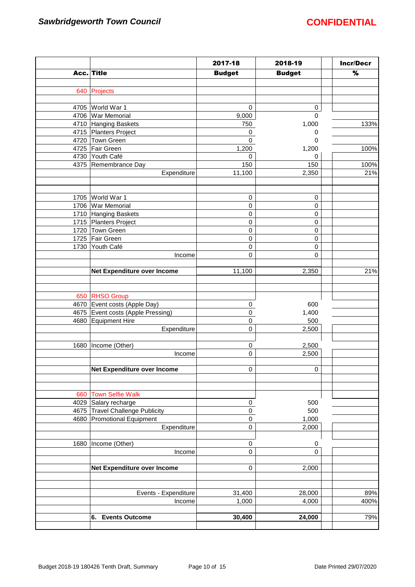|      |                                    | 2017-18          | 2018-19       | <b>Incr/Decr</b> |
|------|------------------------------------|------------------|---------------|------------------|
|      | Acc. Title                         | <b>Budget</b>    | <b>Budget</b> | %                |
|      |                                    |                  |               |                  |
| 640  | Projects                           |                  |               |                  |
|      |                                    |                  |               |                  |
|      | 4705 World War 1                   | 0                | 0             |                  |
|      | 4706 War Memorial                  | 9,000            | $\mathbf 0$   |                  |
|      | 4710 Hanging Baskets               | 750              | 1,000         | 133%             |
|      | 4715 Planters Project              | 0                | 0             |                  |
|      | 4720 Town Green                    | 0                | 0             |                  |
|      | 4725 Fair Green                    | 1,200            | 1,200         | 100%             |
|      | 4730 Youth Café                    | 0                | 0             |                  |
|      | 4375 Remembrance Day               | 150              | 150           | 100%             |
|      | Expenditure                        | 11,100           | 2,350         | 21%              |
|      |                                    |                  |               |                  |
|      |                                    |                  |               |                  |
| 1705 | World War 1                        | 0                | 0             |                  |
| 1706 | <b>War Memorial</b>                | 0                | 0             |                  |
|      | 1710 Hanging Baskets               | $\pmb{0}$        | 0             |                  |
|      | 1715 Planters Project              | $\pmb{0}$        | $\pmb{0}$     |                  |
|      | 1720 Town Green                    | 0                | $\pmb{0}$     |                  |
|      | 1725 Fair Green                    | 0                | 0             |                  |
|      | 1730 Youth Café                    | 0                | 0             |                  |
|      | Income                             | 0                | $\mathbf 0$   |                  |
|      |                                    |                  |               |                  |
|      | Net Expenditure over Income        | 11,100           | 2,350         | 21%              |
|      |                                    |                  |               |                  |
|      |                                    |                  |               |                  |
|      | 650 RHSO Group                     |                  |               |                  |
|      | 4670 Event costs (Apple Day)       | 0                | 600           |                  |
|      | 4675 Event costs (Apple Pressing)  | $\mathsf 0$<br>0 | 1,400         |                  |
|      | 4680 Equipment Hire<br>Expenditure | 0                | 500<br>2,500  |                  |
|      |                                    |                  |               |                  |
| 1680 | Income (Other)                     | 0                | 2,500         |                  |
|      | Income                             | 0                | 2,500         |                  |
|      |                                    |                  |               |                  |
|      | Net Expenditure over Income        | 0                | $\pmb{0}$     |                  |
|      |                                    |                  |               |                  |
|      |                                    |                  |               |                  |
| 660  | <b>Town Selfie Walk</b>            |                  |               |                  |
| 4029 | Salary recharge                    | $\pmb{0}$        | 500           |                  |
|      | 4675 Travel Challenge Publicity    | $\mathsf 0$      | 500           |                  |
| 4680 | Promotional Equipment              | 0                | 1,000         |                  |
|      | Expenditure                        | $\pmb{0}$        | 2,000         |                  |
|      |                                    |                  |               |                  |
| 1680 | Income (Other)                     | $\pmb{0}$        | 0             |                  |
|      | Income                             | 0                | $\mathbf 0$   |                  |
|      |                                    |                  |               |                  |
|      | Net Expenditure over Income        | 0                | 2,000         |                  |
|      |                                    |                  |               |                  |
|      |                                    |                  |               |                  |
|      | Events - Expenditure               | 31,400           | 28,000        | 89%              |
|      | Income                             | 1,000            | 4,000         | 400%             |
|      |                                    |                  |               |                  |
|      | <b>Events Outcome</b><br>6.        | 30,400           | 24,000        | 79%              |
|      |                                    |                  |               |                  |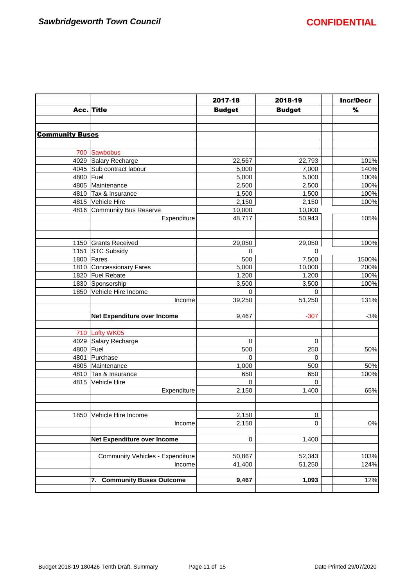|                        |                                  | 2017-18       | 2018-19       | <b>Incr/Decr</b> |
|------------------------|----------------------------------|---------------|---------------|------------------|
|                        | Acc. Title                       | <b>Budget</b> | <b>Budget</b> | %                |
|                        |                                  |               |               |                  |
|                        |                                  |               |               |                  |
| <b>Community Buses</b> |                                  |               |               |                  |
|                        |                                  |               |               |                  |
| 700                    | Sawbobus                         |               |               |                  |
|                        | 4029 Salary Recharge             | 22,567        | 22,793        | 101%             |
|                        | 4045 Sub contract labour         | 5,000         | 7,000         | 140%             |
| 4800 Fuel              |                                  | 5,000         | 5,000         | 100%             |
|                        | 4805 Maintenance                 | 2,500         | 2,500         | 100%             |
|                        | 4810 Tax & Insurance             | 1,500         | 1,500         | 100%             |
|                        | 4815 Vehicle Hire                | 2,150         | 2,150         | 100%             |
|                        | 4816 Community Bus Reserve       | 10,000        | 10,000        |                  |
|                        | Expenditure                      | 48,717        | 50,943        | 105%             |
|                        |                                  |               |               |                  |
| 1150                   | Grants Received                  | 29,050        | 29,050        | 100%             |
| 1151                   | <b>STC Subsidy</b>               | $\mathbf 0$   | $\Omega$      |                  |
|                        | 1800 Fares                       | 500           | 7,500         | 1500%            |
|                        | 1810 Concessionary Fares         | 5,000         | 10,000        | 200%             |
|                        | 1820 Fuel Rebate                 | 1,200         | 1,200         | 100%             |
|                        | 1830 Sponsorship                 | 3,500         | 3,500         | 100%             |
|                        | 1850 Vehicle Hire Income         | 0             | 0             |                  |
|                        | Income                           | 39,250        | 51,250        | 131%             |
|                        | Net Expenditure over Income      | 9,467         | $-307$        | $-3%$            |
| 710                    | Lofty WK05                       |               |               |                  |
| 4029                   | Salary Recharge                  | $\mathbf 0$   | $\mathbf 0$   |                  |
| 4800                   | Fuel                             | 500           | 250           | 50%              |
| 4801                   | Purchase                         | $\Omega$      | $\mathbf 0$   |                  |
|                        | 4805 Maintenance                 | 1,000         | 500           | 50%              |
|                        | 4810 Tax & Insurance             | 650           | 650           | 100%             |
|                        | 4815 Vehicle Hire                | $\Omega$      | $\Omega$      |                  |
|                        | Expenditure                      | 2,150         | 1,400         | 65%              |
|                        |                                  |               |               |                  |
| 1850                   | Vehicle Hire Income              | 2,150         | $\mathbf 0$   |                  |
|                        | Income                           | 2,150         | $\Omega$      | $0\%$            |
|                        | Net Expenditure over Income      | 0             | 1,400         |                  |
|                        | Community Vehicles - Expenditure | 50,867        | 52,343        | 103%             |
|                        | Income                           | 41,400        | 51,250        | 124%             |
|                        |                                  |               |               |                  |
|                        | 7. Community Buses Outcome       | 9,467         | 1,093         | 12%              |
|                        |                                  |               |               |                  |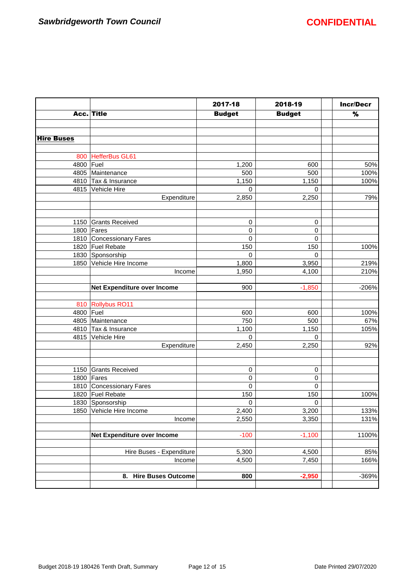|                   |                                 | 2017-18       | 2018-19       | <b>Incr/Decr</b> |
|-------------------|---------------------------------|---------------|---------------|------------------|
|                   | Acc. Title                      | <b>Budget</b> | <b>Budget</b> | $\%$             |
|                   |                                 |               |               |                  |
|                   |                                 |               |               |                  |
| <b>Hire Buses</b> |                                 |               |               |                  |
| 800               | HefferBus GL61                  |               |               |                  |
| 4800 Fuel         |                                 | 1,200         | 600           | 50%              |
|                   | 4805 Maintenance                | 500           | 500           | 100%             |
|                   | 4810 Tax & Insurance            | 1,150         | 1,150         | 100%             |
|                   | 4815 Vehicle Hire               | 0             | 0             |                  |
|                   | Expenditure                     | 2,850         | 2,250         | 79%              |
|                   |                                 |               |               |                  |
| 1150              | <b>Grants Received</b>          | 0             | 0             |                  |
| 1800              | Fares                           | 0             | 0             |                  |
|                   | 1810 Concessionary Fares        | 0             | 0             |                  |
|                   | 1820 Fuel Rebate                | 150           | 150           | 100%             |
|                   | 1830 Sponsorship                | 0             | $\mathbf 0$   |                  |
|                   | 1850 Vehicle Hire Income        | 1,800         | 3,950         | 219%             |
|                   | Income                          | 1,950         | 4,100         | 210%             |
|                   | Net Expenditure over Income     | 900           | $-1,850$      | $-206%$          |
|                   | 810 Rollybus RO11               |               |               |                  |
| 4800   Fuel       |                                 | 600           | 600           | 100%             |
|                   | 4805 Maintenance                | 750           | 500           | 67%              |
|                   | 4810 Tax & Insurance            | 1,100         | 1,150         | 105%             |
|                   | 4815 Vehicle Hire               | 0             | $\Omega$      |                  |
|                   | Expenditure                     | 2,450         | 2,250         | 92%              |
|                   |                                 |               |               |                  |
|                   | 1150 Grants Received            | 0             | 0             |                  |
|                   | 1800 Fares                      | 0             | 0             |                  |
|                   | 1810 Concessionary Fares        | 0             | 0             |                  |
|                   | 1820 Fuel Rebate                | 150           | 150           | 100%             |
|                   | 1830 Sponsorship                | 0             | 0             |                  |
|                   | 1850 Vehicle Hire Income        | 2,400         | 3,200         | 133%             |
|                   | Income                          | 2,550         | 3,350         | 131%             |
|                   | Net Expenditure over Income     | $-100$        | $-1,100$      | 1100%            |
|                   | Hire Buses - Expenditure        | 5,300         | 4,500         | 85%              |
|                   | Income                          | 4,500         | 7,450         | 166%             |
|                   | <b>Hire Buses Outcome</b><br>8. | 800           | $-2,950$      | -369%            |
|                   |                                 |               |               |                  |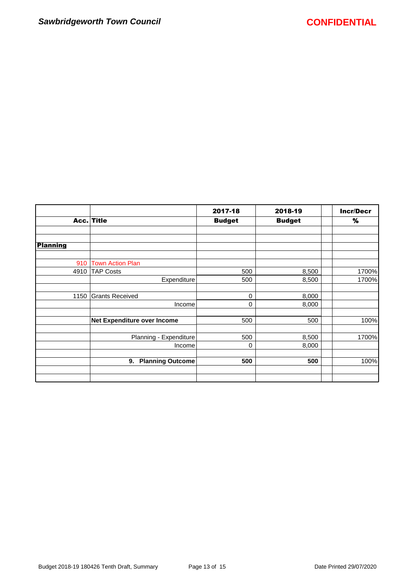|                 |                               | 2017-18       | 2018-19       | <b>Incr/Decr</b> |
|-----------------|-------------------------------|---------------|---------------|------------------|
|                 | Acc. Title                    | <b>Budget</b> | <b>Budget</b> | %                |
|                 |                               |               |               |                  |
| <b>Planning</b> |                               |               |               |                  |
| 910             | <b>Town Action Plan</b>       |               |               |                  |
| 4910            | <b>TAP Costs</b>              | 500           | 8,500         | 1700%            |
|                 | Expenditure                   | 500           | 8,500         | 1700%            |
| 1150            | <b>Grants Received</b>        | $\mathbf 0$   | 8,000         |                  |
|                 | Income                        | 0             | 8,000         |                  |
|                 | Net Expenditure over Income   | 500           | 500           | 100%             |
|                 | Planning - Expenditure        | 500           | 8,500         | 1700%            |
|                 | Income                        | $\mathbf 0$   | 8,000         |                  |
|                 | <b>Planning Outcome</b><br>9. | 500           | 500           | 100%             |
|                 |                               |               |               |                  |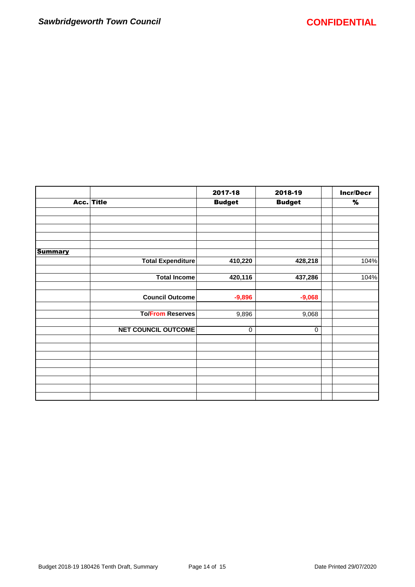|                | Acc. Title                 | 2017-18<br><b>Budget</b> | 2018-19       | <b>Incr/Decr</b> |
|----------------|----------------------------|--------------------------|---------------|------------------|
|                |                            |                          | <b>Budget</b> | $\%$             |
|                |                            |                          |               |                  |
|                |                            |                          |               |                  |
|                |                            |                          |               |                  |
|                |                            |                          |               |                  |
| <b>Summary</b> |                            |                          |               |                  |
|                | <b>Total Expenditure</b>   | 410,220                  | 428,218       | 104%             |
|                |                            |                          |               |                  |
|                | <b>Total Income</b>        | 420,116                  | 437,286       | 104%             |
|                |                            |                          |               |                  |
|                | <b>Council Outcome</b>     | $-9,896$                 | $-9,068$      |                  |
|                |                            |                          |               |                  |
|                | <b>To/From Reserves</b>    | 9,896                    | 9,068         |                  |
|                | <b>NET COUNCIL OUTCOME</b> |                          |               |                  |
|                |                            | $\mathbf 0$              | 0             |                  |
|                |                            |                          |               |                  |
|                |                            |                          |               |                  |
|                |                            |                          |               |                  |
|                |                            |                          |               |                  |
|                |                            |                          |               |                  |
|                |                            |                          |               |                  |
|                |                            |                          |               |                  |